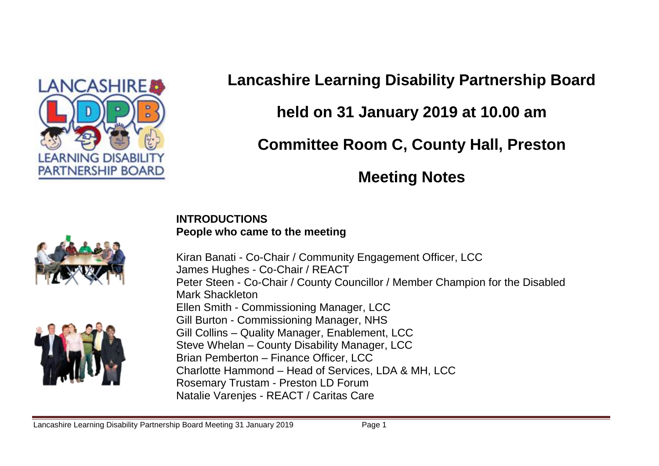

# **Lancashire Learning Disability Partnership Board**

**held on 31 January 2019 at 10.00 am**

# **Committee Room C, County Hall, Preston**

# **Meeting Notes**



#### **INTRODUCTIONS People who came to the meeting**

Kiran Banati - Co-Chair / Community Engagement Officer, LCC James Hughes - Co-Chair / REACT Peter Steen - Co-Chair / County Councillor / Member Champion for the Disabled Mark Shackleton Ellen Smith - Commissioning Manager, LCC Gill Burton - Commissioning Manager, NHS Gill Collins – Quality Manager, Enablement, LCC Steve Whelan – County Disability Manager, LCC Brian Pemberton – Finance Officer, LCC Charlotte Hammond – Head of Services, LDA & MH, LCC Rosemary Trustam - Preston LD Forum Natalie Varenjes - REACT / Caritas Care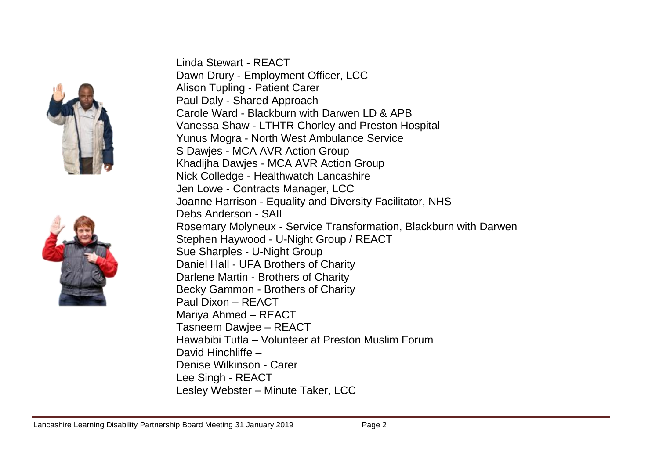



Linda Stewart - REACT Dawn Drury - Employment Officer, LCC Alison Tupling - Patient Carer Paul Daly - Shared Approach Carole Ward - Blackburn with Darwen LD & APB Vanessa Shaw - LTHTR Chorley and Preston Hospital Yunus Mogra - North West Ambulance Service S Dawjes - MCA AVR Action Group Khadijha Dawjes - MCA AVR Action Group Nick Colledge - Healthwatch Lancashire Jen Lowe - Contracts Manager, LCC Joanne Harrison - Equality and Diversity Facilitator, NHS Debs Anderson - SAIL Rosemary Molyneux - Service Transformation, Blackburn with Darwen Stephen Haywood - U-Night Group / REACT Sue Sharples - U-Night Group Daniel Hall - UFA Brothers of Charity Darlene Martin - Brothers of Charity Becky Gammon - Brothers of Charity Paul Dixon – REACT Mariya Ahmed – REACT Tasneem Dawjee – REACT Hawabibi Tutla – Volunteer at Preston Muslim Forum David Hinchliffe – Denise Wilkinson - Carer Lee Singh - REACT Lesley Webster – Minute Taker, LCC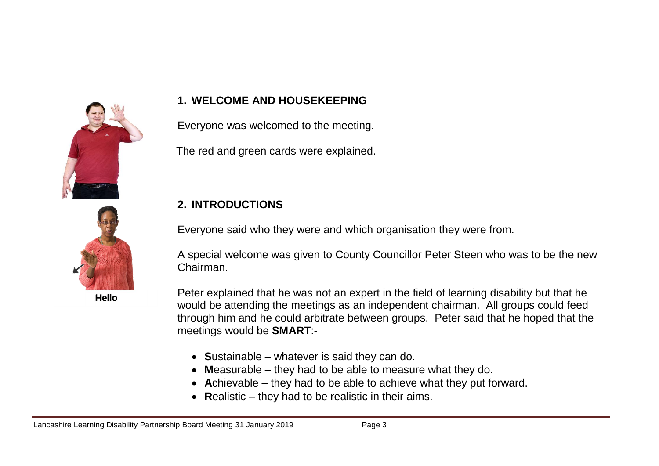

Hello

# **1. WELCOME AND HOUSEKEEPING**

Everyone was welcomed to the meeting.

The red and green cards were explained.

# **2. INTRODUCTIONS**

Everyone said who they were and which organisation they were from.

A special welcome was given to County Councillor Peter Steen who was to be the new Chairman.

Peter explained that he was not an expert in the field of learning disability but that he would be attending the meetings as an independent chairman. All groups could feed through him and he could arbitrate between groups. Peter said that he hoped that the meetings would be **SMART**:-

- Sustainable whatever is said they can do.
- **M**easurable they had to be able to measure what they do.
- **A**chievable they had to be able to achieve what they put forward.
- **R**ealistic they had to be realistic in their aims.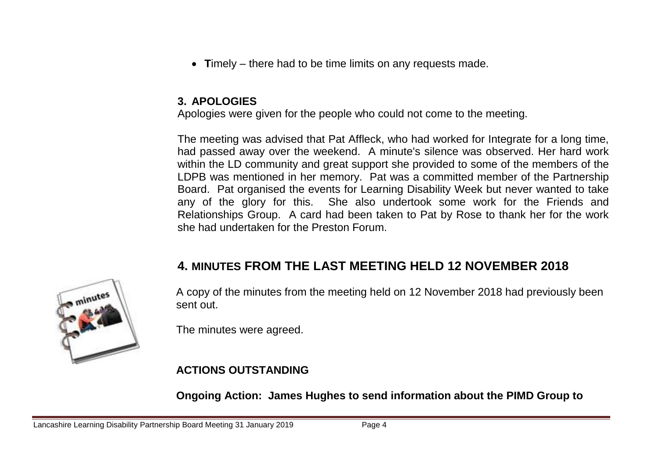• Timely – there had to be time limits on any requests made.

### **3. APOLOGIES**

Apologies were given for the people who could not come to the meeting.

The meeting was advised that Pat Affleck, who had worked for Integrate for a long time, had passed away over the weekend. A minute's silence was observed. Her hard work within the LD community and great support she provided to some of the members of the LDPB was mentioned in her memory. Pat was a committed member of the Partnership Board. Pat organised the events for Learning Disability Week but never wanted to take any of the glory for this. She also undertook some work for the Friends and Relationships Group. A card had been taken to Pat by Rose to thank her for the work she had undertaken for the Preston Forum.

# **4. MINUTES FROM THE LAST MEETING HELD 12 NOVEMBER 2018**



A copy of the minutes from the meeting held on 12 November 2018 had previously been sent out.

The minutes were agreed.

# **ACTIONS OUTSTANDING**

**Ongoing Action: James Hughes to send information about the PIMD Group to**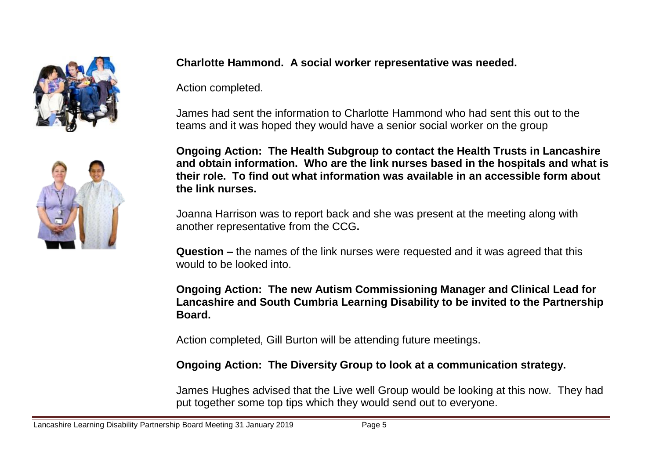



#### **Charlotte Hammond. A social worker representative was needed.**

Action completed.

James had sent the information to Charlotte Hammond who had sent this out to the teams and it was hoped they would have a senior social worker on the group

**Ongoing Action: The Health Subgroup to contact the Health Trusts in Lancashire and obtain information. Who are the link nurses based in the hospitals and what is their role. To find out what information was available in an accessible form about the link nurses.**

Joanna Harrison was to report back and she was present at the meeting along with another representative from the CCG**.**

**Question –** the names of the link nurses were requested and it was agreed that this would to be looked into.

**Ongoing Action: The new Autism Commissioning Manager and Clinical Lead for Lancashire and South Cumbria Learning Disability to be invited to the Partnership Board.**

Action completed, Gill Burton will be attending future meetings.

#### **Ongoing Action: The Diversity Group to look at a communication strategy.**

James Hughes advised that the Live well Group would be looking at this now. They had put together some top tips which they would send out to everyone.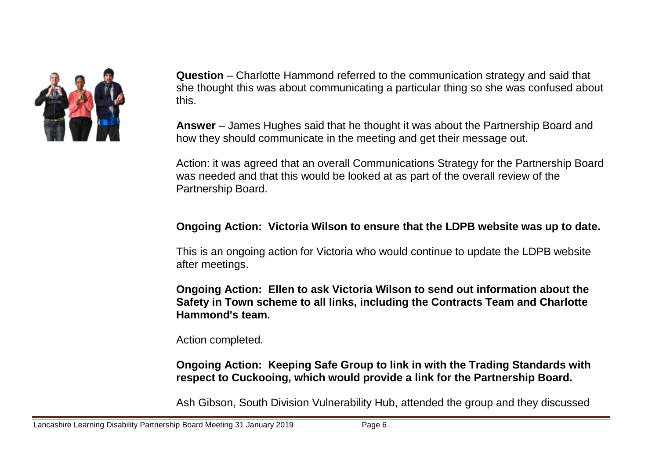

**Question** – Charlotte Hammond referred to the communication strategy and said that she thought this was about communicating a particular thing so she was confused about this.

**Answer** – James Hughes said that he thought it was about the Partnership Board and how they should communicate in the meeting and get their message out.

Action: it was agreed that an overall Communications Strategy for the Partnership Board was needed and that this would be looked at as part of the overall review of the Partnership Board.

#### **Ongoing Action: Victoria Wilson to ensure that the LDPB website was up to date.**

This is an ongoing action for Victoria who would continue to update the LDPB website after meetings.

**Ongoing Action: Ellen to ask Victoria Wilson to send out information about the Safety in Town scheme to all links, including the Contracts Team and Charlotte Hammond's team.** 

Action completed.

**Ongoing Action: Keeping Safe Group to link in with the Trading Standards with respect to Cuckooing, which would provide a link for the Partnership Board.**

Ash Gibson, South Division Vulnerability Hub, attended the group and they discussed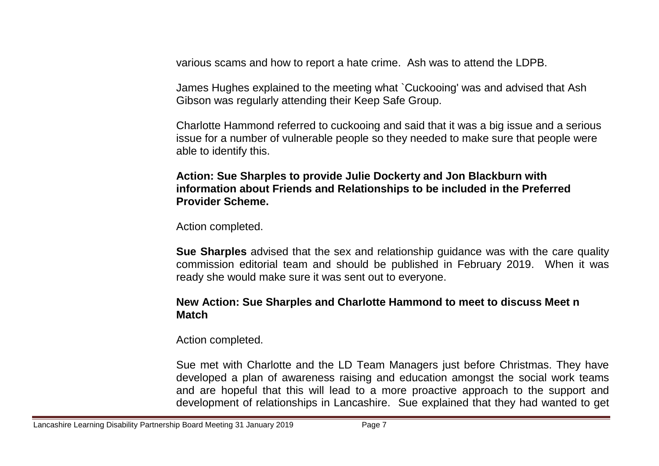various scams and how to report a hate crime. Ash was to attend the LDPB.

James Hughes explained to the meeting what `Cuckooing' was and advised that Ash Gibson was regularly attending their Keep Safe Group.

Charlotte Hammond referred to cuckooing and said that it was a big issue and a serious issue for a number of vulnerable people so they needed to make sure that people were able to identify this.

#### **Action: Sue Sharples to provide Julie Dockerty and Jon Blackburn with information about Friends and Relationships to be included in the Preferred Provider Scheme.**

Action completed.

**Sue Sharples** advised that the sex and relationship guidance was with the care quality commission editorial team and should be published in February 2019. When it was ready she would make sure it was sent out to everyone.

#### **New Action: Sue Sharples and Charlotte Hammond to meet to discuss Meet n Match**

Action completed.

Sue met with Charlotte and the LD Team Managers just before Christmas. They have developed a plan of awareness raising and education amongst the social work teams and are hopeful that this will lead to a more proactive approach to the support and development of relationships in Lancashire. Sue explained that they had wanted to get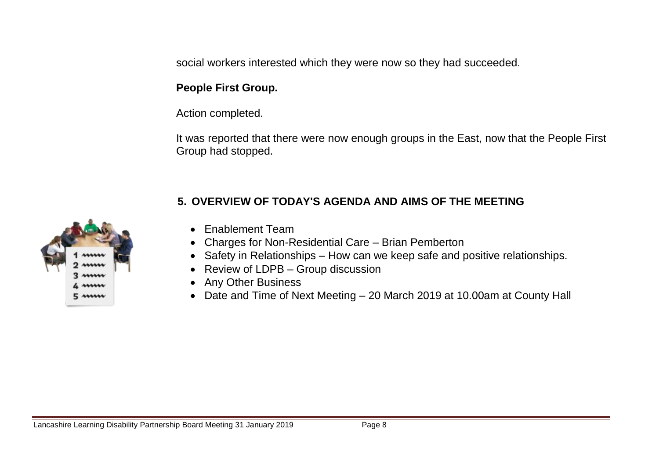social workers interested which they were now so they had succeeded.

### **People First Group.**

Action completed.

It was reported that there were now enough groups in the East, now that the People First Group had stopped.

#### **5. OVERVIEW OF TODAY'S AGENDA AND AIMS OF THE MEETING**



- Enablement Team
- Charges for Non-Residential Care Brian Pemberton
- Safety in Relationships How can we keep safe and positive relationships.
- Review of LDPB Group discussion
- Any Other Business
- Date and Time of Next Meeting 20 March 2019 at 10.00am at County Hall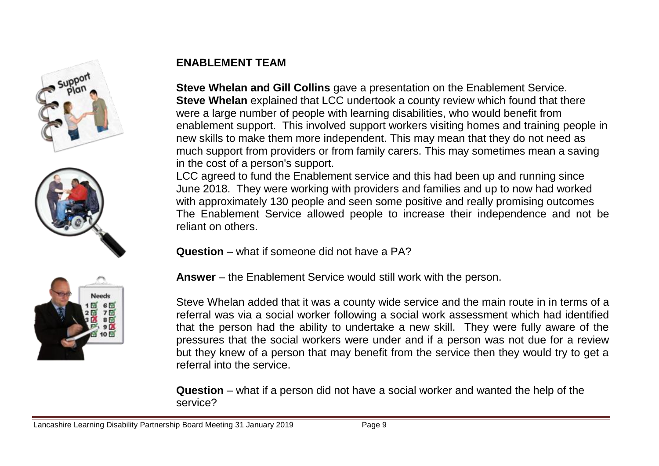





## **ENABLEMENT TEAM**

**Steve Whelan and Gill Collins** gave a presentation on the Enablement Service. **Steve Whelan** explained that LCC undertook a county review which found that there were a large number of people with learning disabilities, who would benefit from enablement support. This involved support workers visiting homes and training people in new skills to make them more independent. This may mean that they do not need as much support from providers or from family carers. This may sometimes mean a saving in the cost of a person's support.

LCC agreed to fund the Enablement service and this had been up and running since June 2018. They were working with providers and families and up to now had worked with approximately 130 people and seen some positive and really promising outcomes The Enablement Service allowed people to increase their independence and not be reliant on others.

**Question** – what if someone did not have a PA?

**Answer** – the Enablement Service would still work with the person.

Steve Whelan added that it was a county wide service and the main route in in terms of a referral was via a social worker following a social work assessment which had identified that the person had the ability to undertake a new skill. They were fully aware of the pressures that the social workers were under and if a person was not due for a review but they knew of a person that may benefit from the service then they would try to get a referral into the service.

**Question** – what if a person did not have a social worker and wanted the help of the service?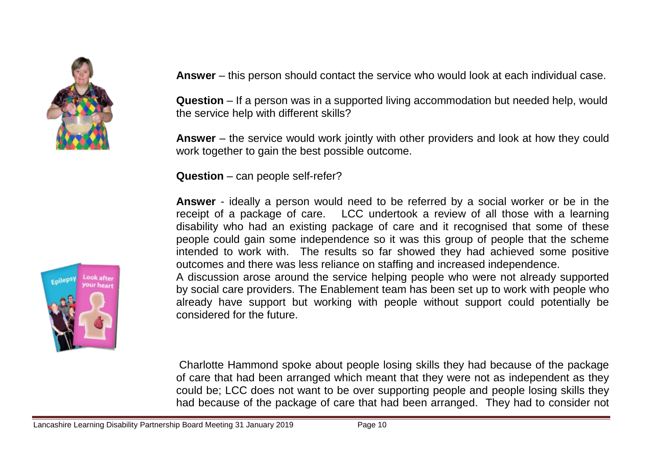

**Answer** – this person should contact the service who would look at each individual case.

**Question** – If a person was in a supported living accommodation but needed help, would the service help with different skills?

**Answer** – the service would work jointly with other providers and look at how they could work together to gain the best possible outcome.

**Question** – can people self-refer?

**Answer** - ideally a person would need to be referred by a social worker or be in the receipt of a package of care. LCC undertook a review of all those with a learning disability who had an existing package of care and it recognised that some of these people could gain some independence so it was this group of people that the scheme intended to work with. The results so far showed they had achieved some positive outcomes and there was less reliance on staffing and increased independence. A discussion arose around the service helping people who were not already supported by social care providers. The Enablement team has been set up to work with people who

already have support but working with people without support could potentially be considered for the future.

Charlotte Hammond spoke about people losing skills they had because of the package of care that had been arranged which meant that they were not as independent as they could be; LCC does not want to be over supporting people and people losing skills they had because of the package of care that had been arranged. They had to consider not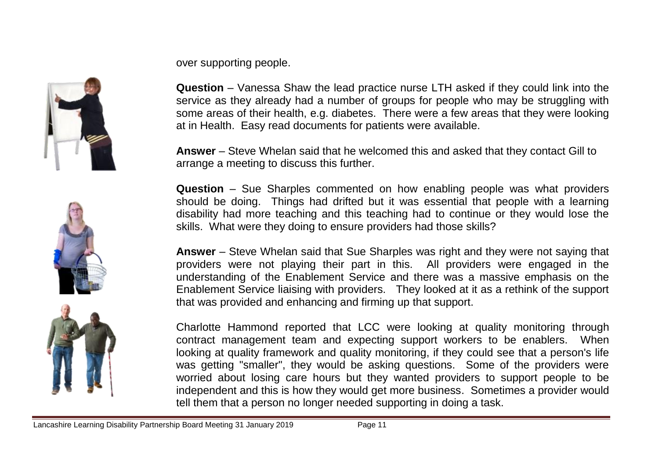





over supporting people.

**Question** – Vanessa Shaw the lead practice nurse LTH asked if they could link into the service as they already had a number of groups for people who may be struggling with some areas of their health, e.g. diabetes. There were a few areas that they were looking at in Health. Easy read documents for patients were available.

**Answer** – Steve Whelan said that he welcomed this and asked that they contact Gill to arrange a meeting to discuss this further.

**Question** – Sue Sharples commented on how enabling people was what providers should be doing. Things had drifted but it was essential that people with a learning disability had more teaching and this teaching had to continue or they would lose the skills. What were they doing to ensure providers had those skills?

**Answer** – Steve Whelan said that Sue Sharples was right and they were not saying that providers were not playing their part in this. All providers were engaged in the understanding of the Enablement Service and there was a massive emphasis on the Enablement Service liaising with providers. They looked at it as a rethink of the support that was provided and enhancing and firming up that support.

Charlotte Hammond reported that LCC were looking at quality monitoring through contract management team and expecting support workers to be enablers. When looking at quality framework and quality monitoring, if they could see that a person's life was getting "smaller", they would be asking questions. Some of the providers were worried about losing care hours but they wanted providers to support people to be independent and this is how they would get more business. Sometimes a provider would tell them that a person no longer needed supporting in doing a task.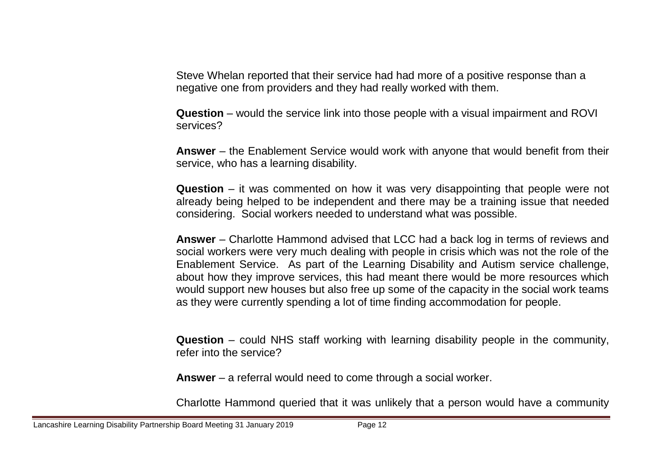Steve Whelan reported that their service had had more of a positive response than a negative one from providers and they had really worked with them.

**Question** – would the service link into those people with a visual impairment and ROVI services?

**Answer** – the Enablement Service would work with anyone that would benefit from their service, who has a learning disability.

**Question** – it was commented on how it was very disappointing that people were not already being helped to be independent and there may be a training issue that needed considering. Social workers needed to understand what was possible.

**Answer** – Charlotte Hammond advised that LCC had a back log in terms of reviews and social workers were very much dealing with people in crisis which was not the role of the Enablement Service. As part of the Learning Disability and Autism service challenge, about how they improve services, this had meant there would be more resources which would support new houses but also free up some of the capacity in the social work teams as they were currently spending a lot of time finding accommodation for people.

**Question** – could NHS staff working with learning disability people in the community, refer into the service?

**Answer** – a referral would need to come through a social worker.

Charlotte Hammond queried that it was unlikely that a person would have a community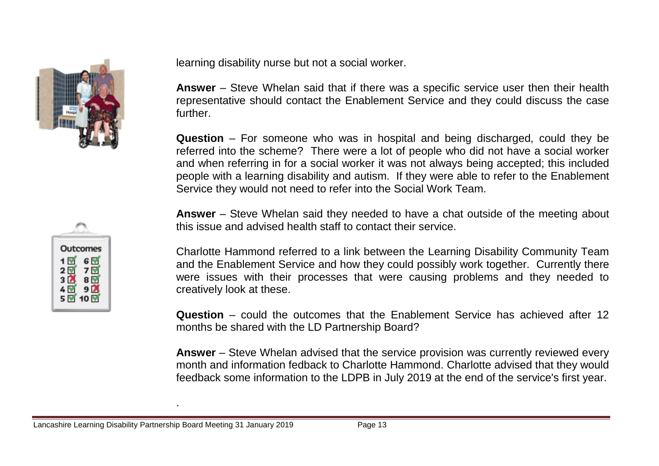

| Outcomes<br>6 M<br>Ñ<br>1<br>2 [<br>7<br>3 <br>8<br>9<br>4 E<br>10 $\nabla$<br>5 N |
|------------------------------------------------------------------------------------|

learning disability nurse but not a social worker.

**Answer** – Steve Whelan said that if there was a specific service user then their health representative should contact the Enablement Service and they could discuss the case further.

**Question** – For someone who was in hospital and being discharged, could they be referred into the scheme? There were a lot of people who did not have a social worker and when referring in for a social worker it was not always being accepted; this included people with a learning disability and autism. If they were able to refer to the Enablement Service they would not need to refer into the Social Work Team.

**Answer** – Steve Whelan said they needed to have a chat outside of the meeting about this issue and advised health staff to contact their service.

Charlotte Hammond referred to a link between the Learning Disability Community Team and the Enablement Service and how they could possibly work together. Currently there were issues with their processes that were causing problems and they needed to creatively look at these.

**Question** – could the outcomes that the Enablement Service has achieved after 12 months be shared with the LD Partnership Board?

**Answer** – Steve Whelan advised that the service provision was currently reviewed every month and information fedback to Charlotte Hammond. Charlotte advised that they would feedback some information to the LDPB in July 2019 at the end of the service's first year.

.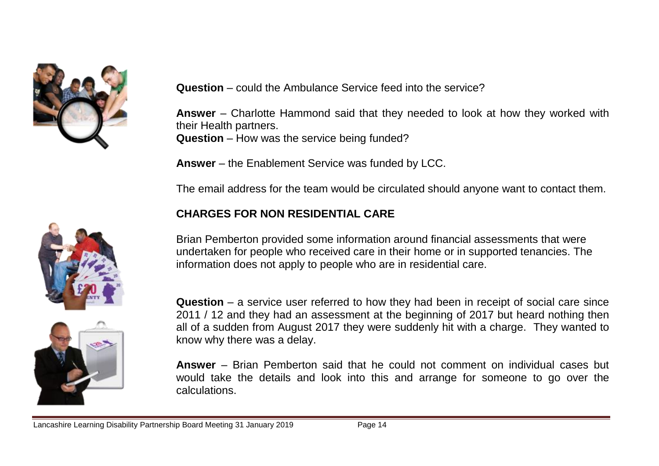



**Answer** – Charlotte Hammond said that they needed to look at how they worked with their Health partners. **Question** – How was the service being funded?

**Answer** – the Enablement Service was funded by LCC.

The email address for the team would be circulated should anyone want to contact them.

#### **CHARGES FOR NON RESIDENTIAL CARE**

Brian Pemberton provided some information around financial assessments that were undertaken for people who received care in their home or in supported tenancies. The information does not apply to people who are in residential care.

**Question** – a service user referred to how they had been in receipt of social care since 2011 / 12 and they had an assessment at the beginning of 2017 but heard nothing then all of a sudden from August 2017 they were suddenly hit with a charge. They wanted to know why there was a delay.

**Answer** – Brian Pemberton said that he could not comment on individual cases but would take the details and look into this and arrange for someone to go over the calculations.



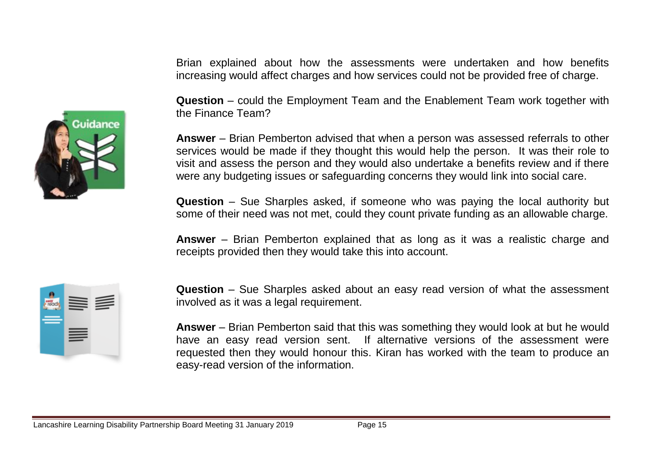Brian explained about how the assessments were undertaken and how benefits increasing would affect charges and how services could not be provided free of charge.

**Question** – could the Employment Team and the Enablement Team work together with the Finance Team?

**Answer** – Brian Pemberton advised that when a person was assessed referrals to other services would be made if they thought this would help the person. It was their role to visit and assess the person and they would also undertake a benefits review and if there were any budgeting issues or safeguarding concerns they would link into social care.

**Question** – Sue Sharples asked, if someone who was paying the local authority but some of their need was not met, could they count private funding as an allowable charge.

**Answer** – Brian Pemberton explained that as long as it was a realistic charge and receipts provided then they would take this into account.

**Question** – Sue Sharples asked about an easy read version of what the assessment involved as it was a legal requirement.

**Answer** – Brian Pemberton said that this was something they would look at but he would have an easy read version sent. If alternative versions of the assessment were requested then they would honour this. Kiran has worked with the team to produce an easy-read version of the information.



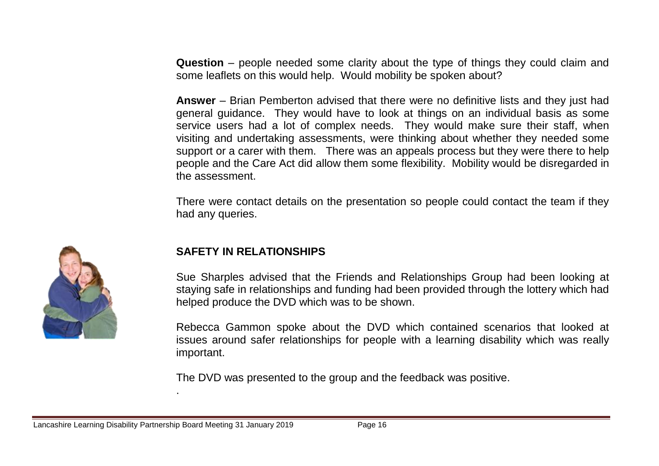**Question** – people needed some clarity about the type of things they could claim and some leaflets on this would help. Would mobility be spoken about?

**Answer** – Brian Pemberton advised that there were no definitive lists and they just had general guidance. They would have to look at things on an individual basis as some service users had a lot of complex needs. They would make sure their staff, when visiting and undertaking assessments, were thinking about whether they needed some support or a carer with them. There was an appeals process but they were there to help people and the Care Act did allow them some flexibility. Mobility would be disregarded in the assessment.

There were contact details on the presentation so people could contact the team if they had any queries.



#### **SAFETY IN RELATIONSHIPS**

Sue Sharples advised that the Friends and Relationships Group had been looking at staying safe in relationships and funding had been provided through the lottery which had helped produce the DVD which was to be shown.

Rebecca Gammon spoke about the DVD which contained scenarios that looked at issues around safer relationships for people with a learning disability which was really important.

The DVD was presented to the group and the feedback was positive.

Lancashire Learning Disability Partnership Board Meeting 31 January 2019 Page 16

.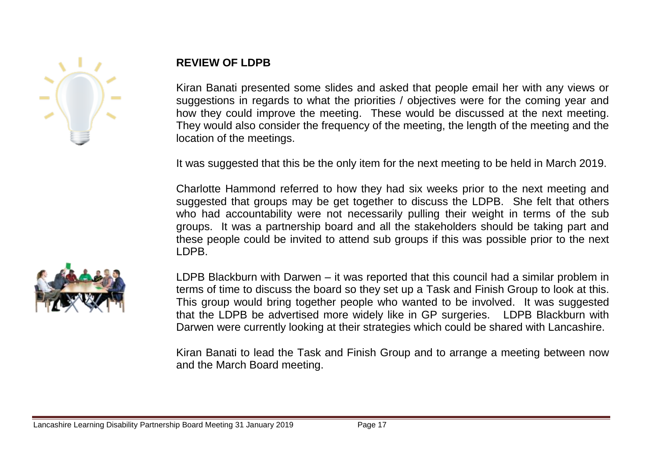

### **REVIEW OF LDPB**

Kiran Banati presented some slides and asked that people email her with any views or suggestions in regards to what the priorities / objectives were for the coming year and how they could improve the meeting. These would be discussed at the next meeting. They would also consider the frequency of the meeting, the length of the meeting and the location of the meetings.

It was suggested that this be the only item for the next meeting to be held in March 2019.

Charlotte Hammond referred to how they had six weeks prior to the next meeting and suggested that groups may be get together to discuss the LDPB. She felt that others who had accountability were not necessarily pulling their weight in terms of the sub groups. It was a partnership board and all the stakeholders should be taking part and these people could be invited to attend sub groups if this was possible prior to the next LDPB.



LDPB Blackburn with Darwen – it was reported that this council had a similar problem in terms of time to discuss the board so they set up a Task and Finish Group to look at this. This group would bring together people who wanted to be involved. It was suggested that the LDPB be advertised more widely like in GP surgeries. LDPB Blackburn with Darwen were currently looking at their strategies which could be shared with Lancashire.

Kiran Banati to lead the Task and Finish Group and to arrange a meeting between now and the March Board meeting.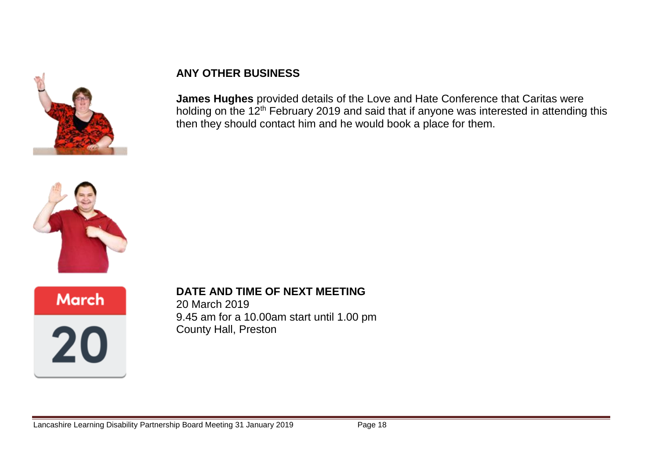

## **ANY OTHER BUSINESS**

**James Hughes** provided details of the Love and Hate Conference that Caritas were holding on the 12<sup>th</sup> February 2019 and said that if anyone was interested in attending this then they should contact him and he would book a place for them.



**March** 20

# **DATE AND TIME OF NEXT MEETING**

20 March 2019 9.45 am for a 10.00am start until 1.00 pm County Hall, Preston